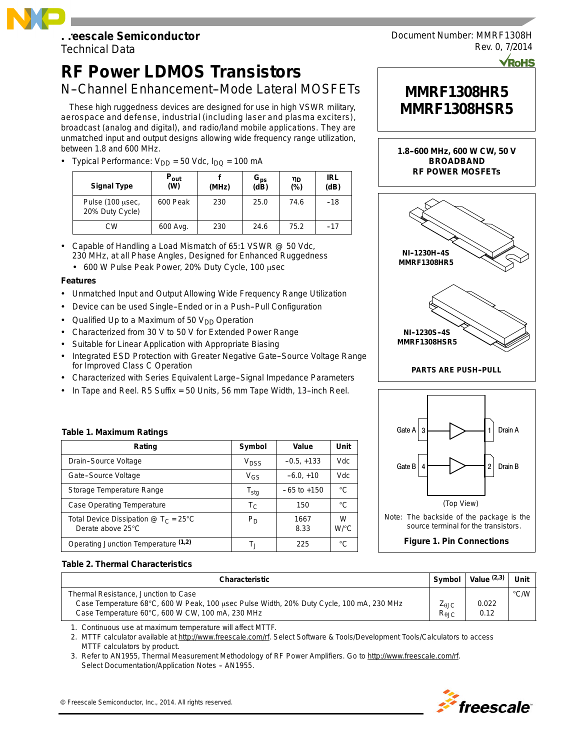## **Freescale Semiconductor**

Technical Data

# **RF Power LDMOS Transistors**

### N-Channel Enhancement-Mode Lateral MOSFETs

These high ruggedness devices are designed for use in high VSWR military, aerospace and defense, industrial (including laser and plasma exciters), broadcast (analog and digital), and radio/land mobile applications. They are unmatched input and output designs allowing wide frequency range utilization, between 1.8 and 600 MHz.

• Typical Performance:  $V_{DD} = 50$  Vdc,  $I_{DQ} = 100$  mA

| <b>Signal Type</b>                  | $P_{\rm out}$<br>(W) | (MHz) | $G_{\text{ps}}$<br>(dB) | ηD<br>(%) | <b>IRL</b><br>(dB) |
|-------------------------------------|----------------------|-------|-------------------------|-----------|--------------------|
| Pulse (100 usec,<br>20% Duty Cycle) | 600 Peak             | 230   | 25.0                    | 74.6      | -18                |
| СW                                  | 600 Avg.             | 230   | 24.6                    | 75.2      | $-17$              |

- Capable of Handling a Load Mismatch of 65:1 VSWR @ 50 Vdc, 230 MHz, at all Phase Angles, Designed for Enhanced Ruggedness
	- $\cdot$  600 W Pulse Peak Power, 20% Duty Cycle, 100  $\mu$ sec

#### **Features**

- Unmatched Input and Output Allowing Wide Frequency Range Utilization
- Device can be used Single-Ended or in a Push-Pull Configuration
- Qualified Up to a Maximum of 50  $V_{DD}$  Operation
- Characterized from 30 V to 50 V for Extended Power Range
- Suitable for Linear Application with Appropriate Biasing
- Integrated ESD Protection with Greater Negative Gate-Source Voltage Range for Improved Class C Operation
- Characterized with Series Equivalent Large--Signal Impedance Parameters
- In Tape and Reel. R5 Suffix = 50 Units, 56 mm Tape Width, 13-inch Reel.

#### **Table 1. Maximum Ratings**

| Rating                                                                   | Symbol           | Value           | Unit                      |
|--------------------------------------------------------------------------|------------------|-----------------|---------------------------|
| Drain-Source Voltage                                                     | V <sub>DSS</sub> | $-0.5, +133$    | <b>Vdc</b>                |
| Gate-Source Voltage                                                      | $V_{GS}$         | $-6.0, +10$     | Vdc                       |
| Storage Temperature Range                                                | $T_{\text{stg}}$ | $-65$ to $+150$ | °C                        |
| <b>Case Operating Temperature</b>                                        | $T_{\rm C}$      | 150             | °C                        |
| Total Device Dissipation $\omega T_c = 25^{\circ}C$<br>Derate above 25°C | $P_D$            | 1667<br>8.33    | W<br>$W$ <sup>o</sup> $C$ |
| Operating Junction Temperature (1,2)                                     | Т.,              | 225             | °C                        |

# Document Number: MMRF1308H Rev. 0, 7/2014

# **MMRF1308HR5 MMRF1308HSR5**









#### **Table 2. Thermal Characteristics**

| Characteristic                                                                           | <b>Symbol</b>    | Value $(2,3)$ | Unit          |
|------------------------------------------------------------------------------------------|------------------|---------------|---------------|
| Thermal Resistance, Junction to Case                                                     |                  |               | $\degree$ C/W |
| Case Temperature 68°C, 600 W Peak, 100 usec Pulse Width, 20% Duty Cycle, 100 mA, 230 MHz | ∠ <sub>θJC</sub> | 0.022         |               |
| Case Temperature 60°C, 600 W CW, 100 mA, 230 MHz                                         | $R_{\theta$ JC   | 0.12          |               |

1. Continuous use at maximum temperature will affect MTTF.

2. MTTF calculator available at http://www.freescale.com/rf. Select Software & Tools/Development Tools/Calculators to access MTTF calculators by product.

3. Refer to AN1955, *Thermal Measurement Methodology of RF Power Amplifiers.* Go to http://www.freescale.com/rf. Select Documentation/Application Notes - AN1955.

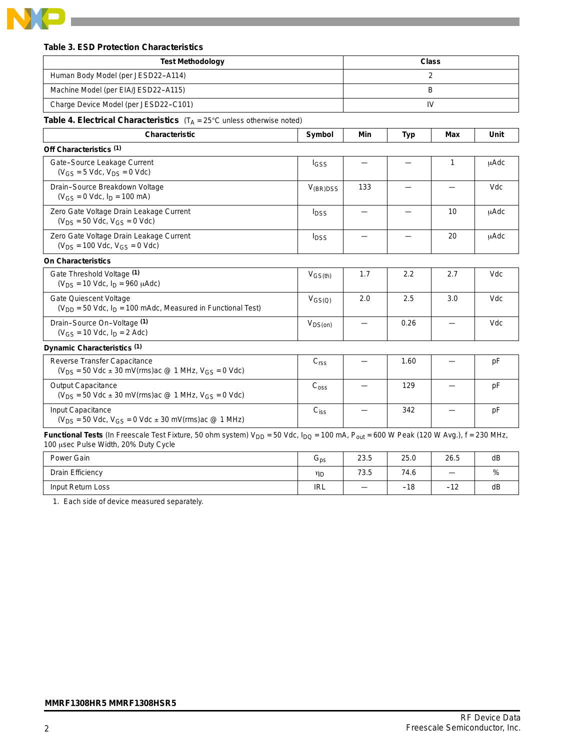

#### **Table 3. ESD Protection Characteristics**

<u> 1989 - Johann Stoff, martin santa shekara ta 1989 - A</u>

| <b>Test Methodology</b>                                                                                                                                                                     |                             | <b>Class</b> |      |     |             |  |
|---------------------------------------------------------------------------------------------------------------------------------------------------------------------------------------------|-----------------------------|--------------|------|-----|-------------|--|
| Human Body Model (per JESD22-A114)                                                                                                                                                          |                             |              |      | 2   |             |  |
| Machine Model (per EIA/JESD22-A115)                                                                                                                                                         |                             |              |      | B   |             |  |
| Charge Device Model (per JESD22-C101)                                                                                                                                                       |                             |              |      | IV  |             |  |
| <b>Table 4. Electrical Characteristics</b> $(T_A = 25^{\circ}C \text{ unless otherwise noted})$                                                                                             |                             |              |      |     |             |  |
| <b>Characteristic</b>                                                                                                                                                                       | Symbol                      | Min          | Typ  | Max | Unit        |  |
| Off Characteristics (1)                                                                                                                                                                     |                             |              |      |     |             |  |
| Gate-Source Leakage Current<br>$(V_{GS} = 5$ Vdc, $V_{DS} = 0$ Vdc)                                                                                                                         | <b>I</b> GSS                |              |      | 1   | μAdc        |  |
| Drain-Source Breakdown Voltage<br>$(V_{GS} = 0$ Vdc, $I_D = 100$ mA)                                                                                                                        | $V_{(BR)DSS}$               | 133          |      |     | Vdc         |  |
| Zero Gate Voltage Drain Leakage Current<br>$(V_{DS} = 50$ Vdc, $V_{GS} = 0$ Vdc)                                                                                                            | $I_{DSS}$                   |              |      | 10  | <b>µAdc</b> |  |
| Zero Gate Voltage Drain Leakage Current<br>$(V_{DS} = 100$ Vdc, $V_{GS} = 0$ Vdc)                                                                                                           | $I_{DSS}$                   |              |      | 20  | μAdc        |  |
| <b>On Characteristics</b>                                                                                                                                                                   |                             |              |      |     |             |  |
| Gate Threshold Voltage (1)<br>$(V_{DS} = 10$ Vdc, $I_D = 960$ $\mu$ Adc)                                                                                                                    | $V_{GS(th)}$                | 1.7          | 2.2  | 2.7 | Vdc         |  |
| Gate Quiescent Voltage<br>$(V_{DD} = 50$ Vdc, $I_D = 100$ mAdc, Measured in Functional Test)                                                                                                | $V_{GS(Q)}$                 | 2.0          | 2.5  | 3.0 | Vdc         |  |
| Drain-Source On-Voltage (1)<br>$(V_{GS} = 10$ Vdc, $I_D = 2$ Adc)                                                                                                                           | $V_{DS(on)}$                |              | 0.26 |     | Vdc         |  |
| Dynamic Characteristics (1)                                                                                                                                                                 |                             |              |      |     |             |  |
| Reverse Transfer Capacitance<br>$(V_{DS} = 50$ Vdc $\pm$ 30 mV(rms) ac @ 1 MHz, $V_{GS} = 0$ Vdc)                                                                                           | C <sub>rss</sub>            |              | 1.60 |     | pF          |  |
| <b>Output Capacitance</b><br>$(V_{DS} = 50$ Vdc $\pm$ 30 mV(rms)ac @ 1 MHz, V <sub>GS</sub> = 0 Vdc)                                                                                        | $\mathrm{C}_{\mathrm{oss}}$ |              | 129  |     | pF          |  |
| Input Capacitance<br>$(V_{DS} = 50$ Vdc, $V_{GS} = 0$ Vdc $\pm$ 30 mV(rms) ac @ 1 MHz)                                                                                                      | $C_{iss}$                   |              | 342  |     | pF          |  |
| Functional Tests (In Freescale Test Fixture, 50 ohm system) $V_{DD}$ = 50 Vdc, $I_{DQ}$ = 100 mA, $P_{out}$ = 600 W Peak (120 W Avg.), f = 230 MHz,<br>100 usec Pulse Width, 20% Duty Cycle |                             |              |      |     |             |  |

| Power Gain        | ს <sub>ps</sub> | 23.5              | 25.0  | 26.5          | dB |
|-------------------|-----------------|-------------------|-------|---------------|----|
| Drain Efficiency  | ηD              | 73.5              | 74.6  |               | %  |
| Input Return Loss | <b>IRL</b>      | $\hspace{0.05cm}$ | $-18$ | $\sim$<br>-14 | dB |

1. Each side of device measured separately.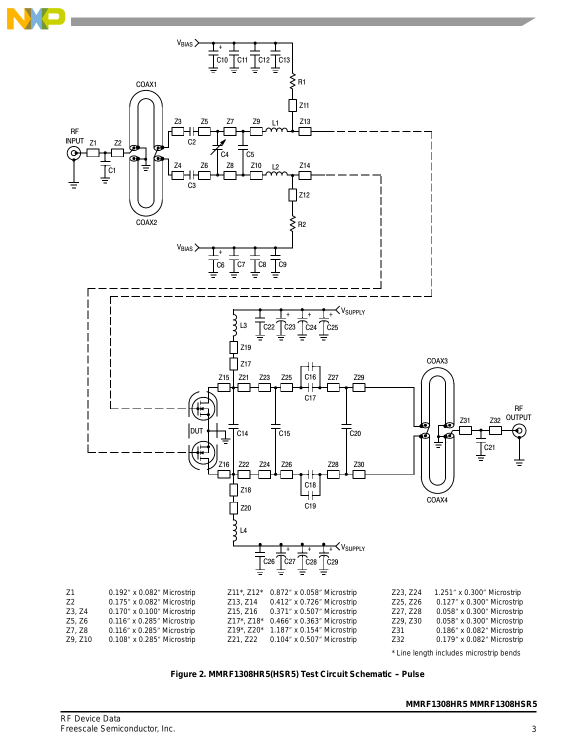



Figure 2. MMRF1308HR5(HSR5) Test Circuit Schematic - Pulse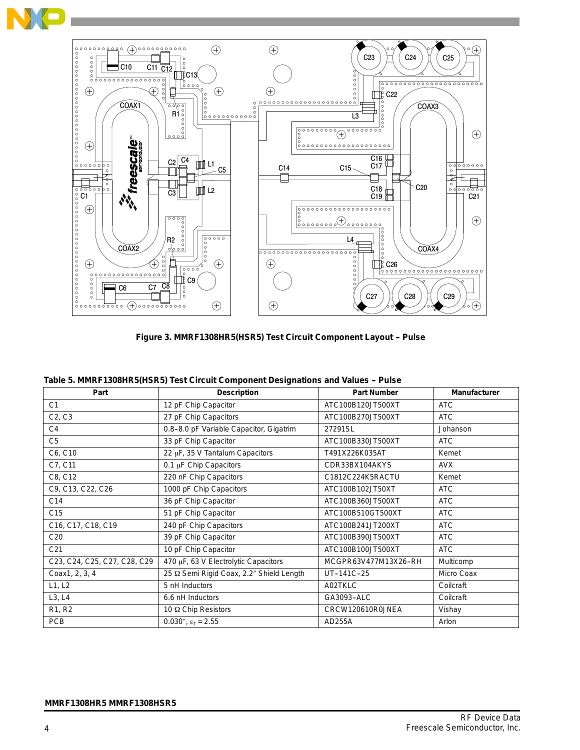



**Figure 3. MMRF1308HR5(HSR5) Test Circuit Component Layout -- Pulse**

| Part                            | <b>Description</b>                       | <b>Part Number</b>   | <b>Manufacturer</b> |
|---------------------------------|------------------------------------------|----------------------|---------------------|
| C <sub>1</sub>                  | 12 pF Chip Capacitor                     | ATC100B120JT500XT    | <b>ATC</b>          |
| C <sub>2</sub> , C <sub>3</sub> | 27 pF Chip Capacitors                    | ATC100B270JT500XT    | <b>ATC</b>          |
| C4                              | 0.8-8.0 pF Variable Capacitor, Gigatrim  | 27291SL              | Johanson            |
| C <sub>5</sub>                  | 33 pF Chip Capacitor                     | ATC100B330JT500XT    | ATC                 |
| C6, C10                         | 22 µF, 35 V Tantalum Capacitors          | T491X226K035AT       | Kemet               |
| C7, C11                         | 0.1 µF Chip Capacitors                   | CDR33BX104AKYS       | <b>AVX</b>          |
| C8, C12                         | 220 nF Chip Capacitors                   | C1812C224K5RACTU     | Kemet               |
| C9, C13, C22, C26               | 1000 pF Chip Capacitors                  | ATC100B102JT50XT     | <b>ATC</b>          |
| C14                             | 36 pF Chip Capacitor                     | ATC100B360JT500XT    | <b>ATC</b>          |
| C <sub>15</sub>                 | 51 pF Chip Capacitor                     | ATC100B510GT500XT    | <b>ATC</b>          |
| C16, C17, C18, C19              | 240 pF Chip Capacitors                   | ATC100B241JT200XT    | <b>ATC</b>          |
| C <sub>20</sub>                 | 39 pF Chip Capacitor                     | ATC100B390JT500XT    | <b>ATC</b>          |
| C <sub>21</sub>                 | 10 pF Chip Capacitor                     | ATC100B100JT500XT    | <b>ATC</b>          |
| C23, C24, C25, C27, C28, C29    | 470 µF, 63 V Electrolytic Capacitors     | MCGPR63V477M13X26-RH | Multicomp           |
| Coax1, 2, 3, 4                  | 25 Ω Semi Rigid Coax, 2.2" Shield Length | UT-141C-25           | Micro Coax          |
| L1, L2                          | 5 nH Inductors                           | A02TKLC              | Coilcraft           |
| L3, L4                          | 6.6 nH Inductors                         | GA3093-ALC           | Coilcraft           |
| R1, R2                          | 10 Ω Chip Resistors                      | CRCW120610R0JNEA     | Vishay              |
| <b>PCB</b>                      | 0.030", $\epsilon_{r} = 2.55$            | AD255A               | Arlon               |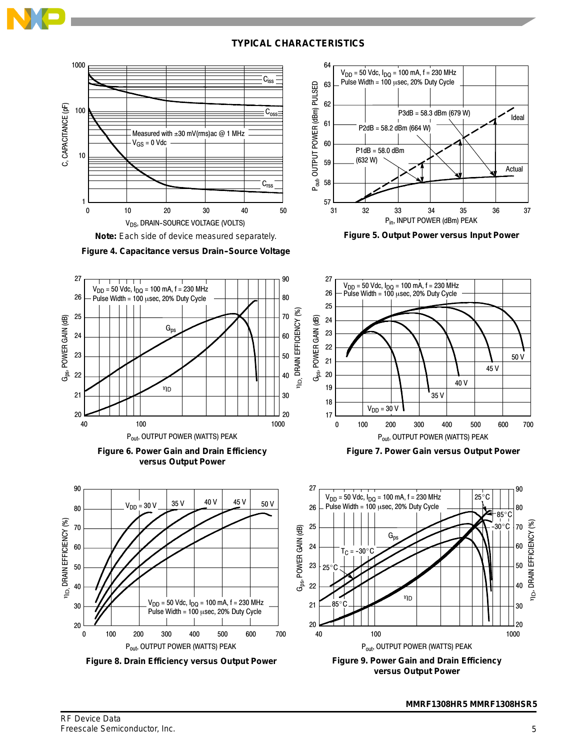

#### **TYPICAL CHARACTERISTICS**





**Figure 4. Capacitance versus Drain-Source Voltage** 







**Figure 8. Drain Efficiency versus Output Power**



**Figure 5. Output Power versus Input Power**



**Figure 7. Power Gain versus Output Power**



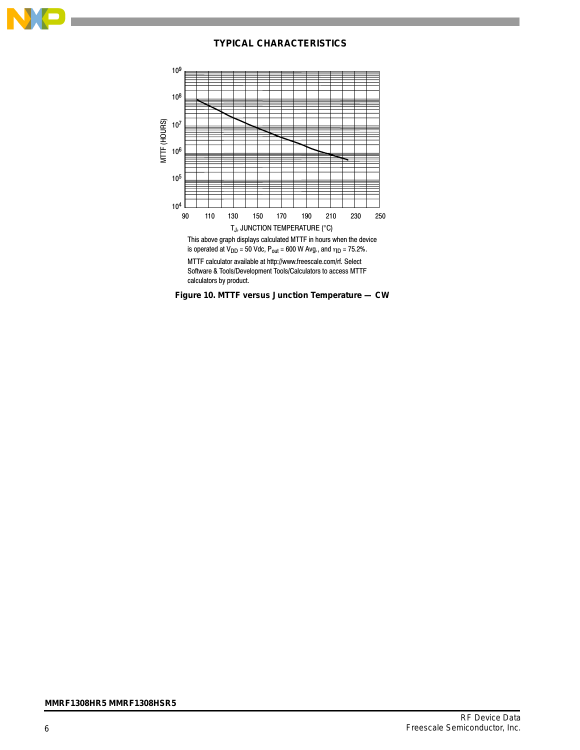

#### **TYPICAL CHARACTERISTICS**



MTTF calculator available at http://www.freescale.com/rf. Select Software & Tools/Development Tools/Calculators to access MTTF calculators by product.

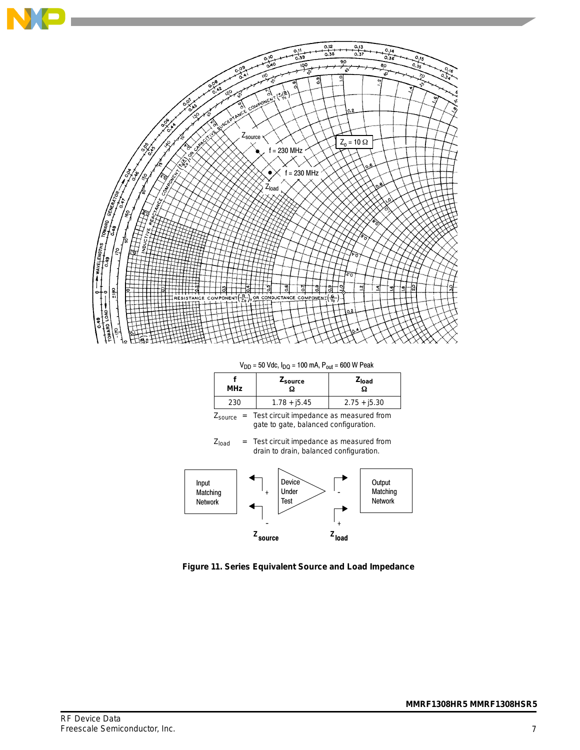

 $V_{DD}$  = 50 Vdc,  $I_{DQ}$  = 100 mA,  $P_{out}$  = 600 W Peak

| <b>MHz</b> | <b>Leource</b> | Zload          |
|------------|----------------|----------------|
| 230        | $1.78 + j5.45$ | $2.75 + j5.30$ |

 $Z_{\text{source}} =$  Test circuit impedance as measured from gate to gate, balanced configuration.

 $Z<sub>load</sub>$  = Test circuit impedance as measured from drain to drain, balanced configuration.



**Figure 11. Series Equivalent Source and Load Impedance**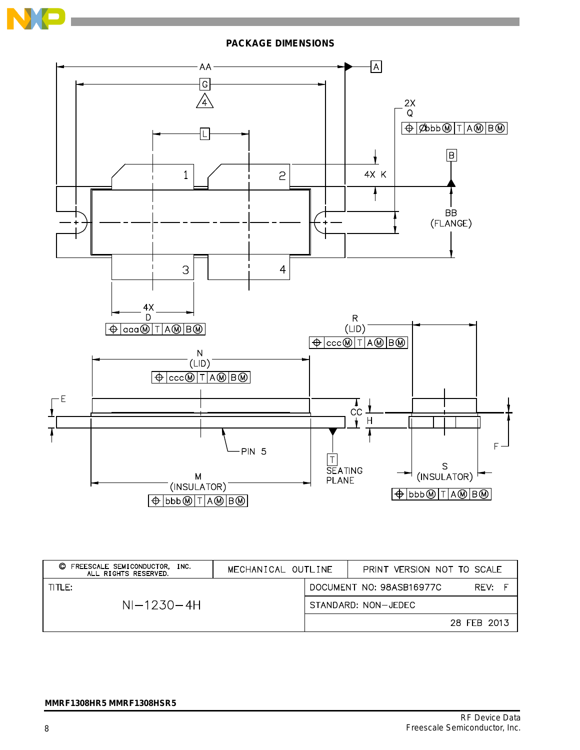**PACKAGE DIMENSIONS**



| FREESCALE SEMICONDUCTOR,<br>O<br>INC.<br>ALL RIGHTS RESERVED. | MECHANICAL OUTLINE |                     | PRINT VERSION NOT TO SCALE |             |  |
|---------------------------------------------------------------|--------------------|---------------------|----------------------------|-------------|--|
| TITLE:                                                        |                    |                     | DOCUMENT NO: 98ASB16977C   | RFV:        |  |
| $NI-1230-4H$                                                  |                    | STANDARD: NON-JEDEC |                            |             |  |
|                                                               |                    |                     |                            | 28 FEB 2013 |  |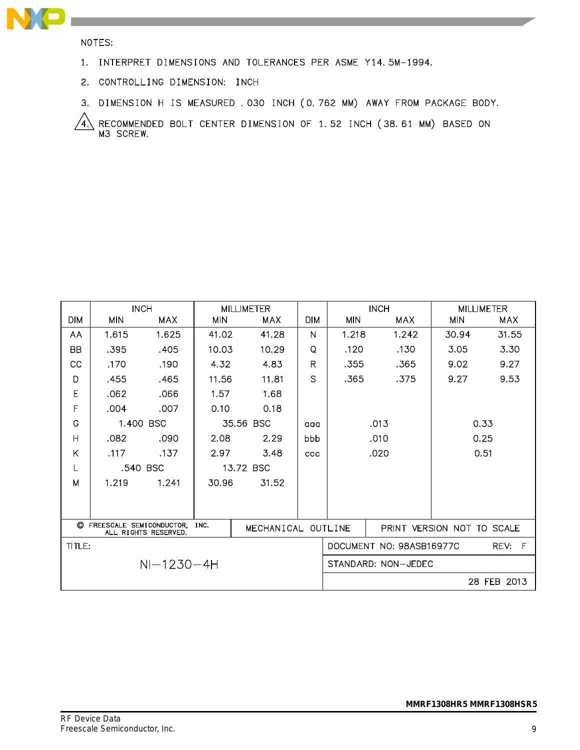

NOTES:

- 1. INTERPRET DIMENSIONS AND TOLERANCES PER ASME Y14.5M-1994.
- 2. CONTROLLING DIMENSION: INCH
- 3. DIMENSION H IS MEASURED . 030 INCH (0.762 MM) AWAY FROM PACKAGE BODY.

RECOMMENDED BOLT CENTER DIMENSION OF 1.52 INCH (38.61 MM) BASED ON M3 SCREW.  $\sqrt{4}$ 

|              |                                                                                  | <b>INCH</b> |            | <b>MILLIMETER</b>   |                                       |                            | <b>INCH</b>  |            | <b>MILLIMETER</b> |
|--------------|----------------------------------------------------------------------------------|-------------|------------|---------------------|---------------------------------------|----------------------------|--------------|------------|-------------------|
| <b>DIM</b>   | <b>MIN</b>                                                                       | <b>MAX</b>  | <b>MIN</b> | <b>MAX</b>          | <b>DIM</b>                            | <b>MIN</b>                 | MAX          | <b>MIN</b> | <b>MAX</b>        |
| AA           | 1.615                                                                            | 1.625       | 41.02      | 41.28               | N                                     | 1.218                      | 1.242        | 30.94      | 31.55             |
| <b>BB</b>    | .395                                                                             | .405        | 10.03      | 10.29               | Q                                     | .120                       | .130         | 3.05       | 3.30              |
| CC           | .170                                                                             | .190        | 4.32       | 4.83                | R                                     | .355                       | .365         | 9.02       | 9.27              |
| D            | .455                                                                             | .465        | 11.56      | 11.81               | S.                                    | .365                       | .375         | 9.27       | 9.53              |
| E            | .062                                                                             | .066        | 1.57       | 1.68                |                                       |                            |              |            |                   |
| F            | .004                                                                             | .007        | 0.10       | 0.18                |                                       |                            |              |            |                   |
| G            |                                                                                  | 1.400 BSC   |            | 35.56 BSC           | aaa                                   |                            | .013         | 0.33       |                   |
| H            | .082                                                                             | .090        | 2.08       | 2.29                | bbb                                   |                            | .010         | 0.25       |                   |
| Κ            | .117                                                                             | .137        | 2.97       | 3.48                | CCC                                   |                            | .020<br>0.51 |            |                   |
| L            |                                                                                  | .540 BSC    |            | 13.72 BSC           |                                       |                            |              |            |                   |
| M            | 1.219                                                                            | 1.241       | 30.96      | 31.52               |                                       |                            |              |            |                   |
|              |                                                                                  |             |            |                     |                                       |                            |              |            |                   |
|              |                                                                                  |             |            |                     |                                       |                            |              |            |                   |
|              | C FREESCALE SEMICONDUCTOR,<br>INC.<br>MECHANICAL OUTLINE<br>ALL RIGHTS RESERVED. |             |            |                     |                                       | PRINT VERSION NOT TO SCALE |              |            |                   |
| TITLE:       |                                                                                  |             |            |                     | DOCUMENT NO: 98ASB16977C<br>F<br>REV: |                            |              |            |                   |
| $NI-1230-4H$ |                                                                                  |             |            | STANDARD: NON-JEDEC |                                       |                            |              |            |                   |
|              |                                                                                  |             |            |                     | 28 FEB 2013                           |                            |              |            |                   |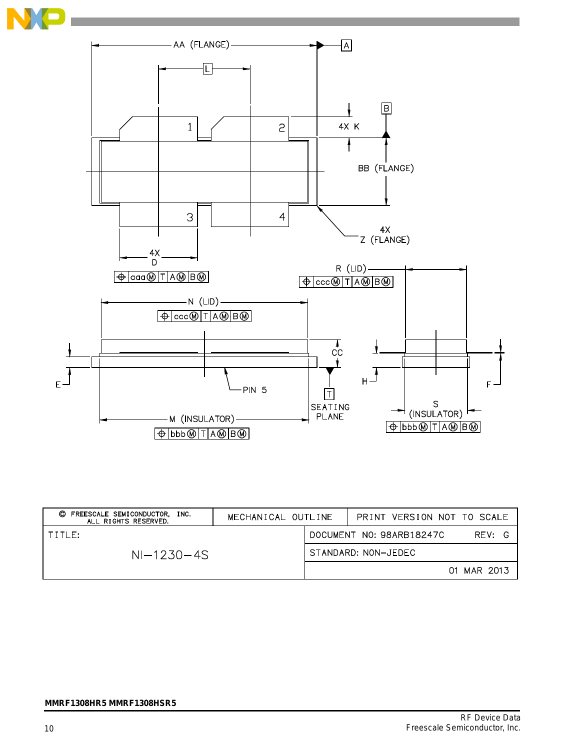



| FREESCALE SEMICONDUCTOR, INC.<br>O<br>ALL RIGHTS RESERVED. | MECHANICAL OUTLINE |                                    | PRINT VERSION NOT TO SCALE |  |  |
|------------------------------------------------------------|--------------------|------------------------------------|----------------------------|--|--|
| TITLE:                                                     |                    | DOCUMENT NO: 98ARB18247C<br>RFV: G |                            |  |  |
| $NI-1230-4S$                                               |                    | STANDARD: NON-JEDEC                |                            |  |  |
|                                                            |                    |                                    | 01 MAR 2013                |  |  |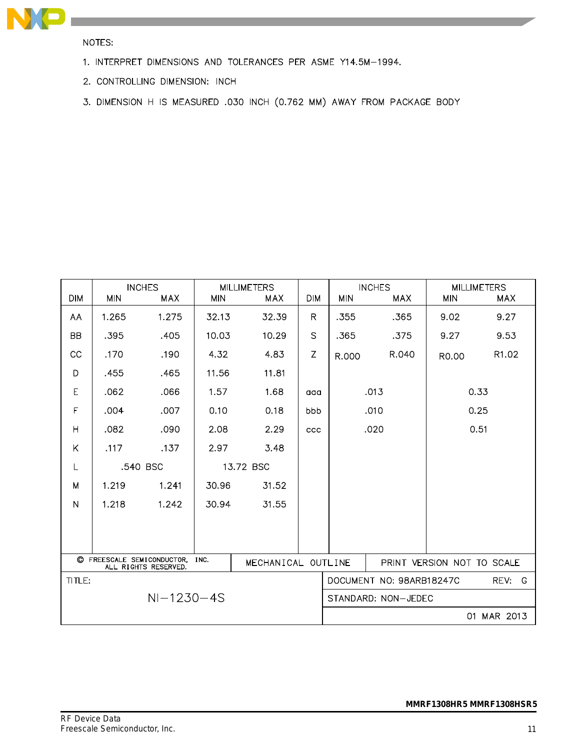

NOTES:

- 1. INTERPRET DIMENSIONS AND TOLERANCES PER ASME Y14.5M-1994.
- 2. CONTROLLING DIMENSION: INCH
- 3. DIMENSION H IS MEASURED .030 INCH (0.762 MM) AWAY FROM PACKAGE BODY

| <b>DIM</b>              | <b>MIN</b> | <b>INCHES</b><br>MAX                               | <b>MIN</b> | <b>MILLIMETERS</b><br><b>MAX</b> | <b>DIM</b>          | <b>MIN</b> | <b>INCHES</b><br>MAX     | <b>MIN</b>                 | <b>MILLIMETERS</b><br>MAX |
|-------------------------|------------|----------------------------------------------------|------------|----------------------------------|---------------------|------------|--------------------------|----------------------------|---------------------------|
| AA                      | 1.265      | 1.275                                              | 32.13      | 32.39                            | R.                  | .355       | .365                     | 9.02                       | 9.27                      |
| <b>BB</b>               | .395       | .405                                               | 10.03      | 10.29                            | S                   | .365       | .375                     | 9.27                       | 9.53                      |
| CC                      | .170       | .190                                               | 4.32       | 4.83                             | Z                   |            | R.040                    |                            | R1.02                     |
|                         |            |                                                    |            |                                  |                     | R.000      |                          | R0.00                      |                           |
| D                       | .455       | .465                                               | 11.56      | 11.81                            |                     |            |                          |                            |                           |
| E                       | .062       | .066                                               | 1.57       | 1.68                             | aaa                 |            | .013                     |                            | 0.33                      |
| F                       | .004       | .007                                               | 0.10       | 0.18                             | bbb                 |            | .010                     |                            | 0.25                      |
| $\overline{\mathsf{H}}$ | .082       | .090                                               | 2.08       | 2.29                             | ccc                 | .020       |                          | 0.51                       |                           |
| Κ                       | .117       | .137                                               | 2.97       | 3.48                             |                     |            |                          |                            |                           |
| L                       |            | .540 BSC                                           |            | 13.72 BSC                        |                     |            |                          |                            |                           |
| M                       | 1.219      | 1.241                                              | 30.96      | 31.52                            |                     |            |                          |                            |                           |
| N                       | 1.218      | 1.242                                              | 30.94      | 31.55                            |                     |            |                          |                            |                           |
|                         |            |                                                    |            |                                  |                     |            |                          |                            |                           |
|                         |            |                                                    |            |                                  |                     |            |                          |                            |                           |
|                         |            | C FREESCALE SEMICONDUCTOR,<br>ALL RIGHTS RESERVED. | INC.       | MECHANICAL OUTLINE               |                     |            |                          | PRINT VERSION NOT TO SCALE |                           |
| TITLE:                  |            |                                                    |            |                                  |                     |            | DOCUMENT NO: 98ARB18247C |                            | REV:<br>-G                |
| $NI-1230-4S$            |            |                                                    |            |                                  | STANDARD: NON-JEDEC |            |                          |                            |                           |
|                         |            |                                                    |            |                                  |                     |            |                          | 01                         | MAR 2013                  |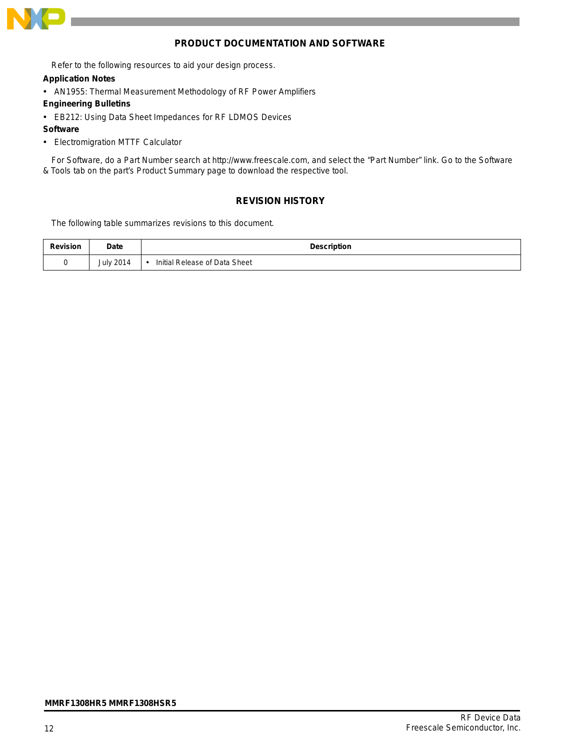

#### **PRODUCT DOCUMENTATION AND SOFTWARE**

Refer to the following resources to aid your design process.

#### **Application Notes**

- AN1955: Thermal Measurement Methodology of RF Power Amplifiers
- **Engineering Bulletins**
- EB212: Using Data Sheet Impedances for RF LDMOS Devices
- **Software**
- Electromigration MTTF Calculator

For Software, do a Part Number search at http://www.freescale.com, and select the "Part Number" link. Go to the Software & Tools tab on the part's Product Summary page to download the respective tool.

#### **REVISION HISTORY**

The following table summarizes revisions to this document.

| <b>Revision</b> | Date             | <b>Description</b>            |
|-----------------|------------------|-------------------------------|
|                 | <b>July 2014</b> | Initial Release of Data Sheet |